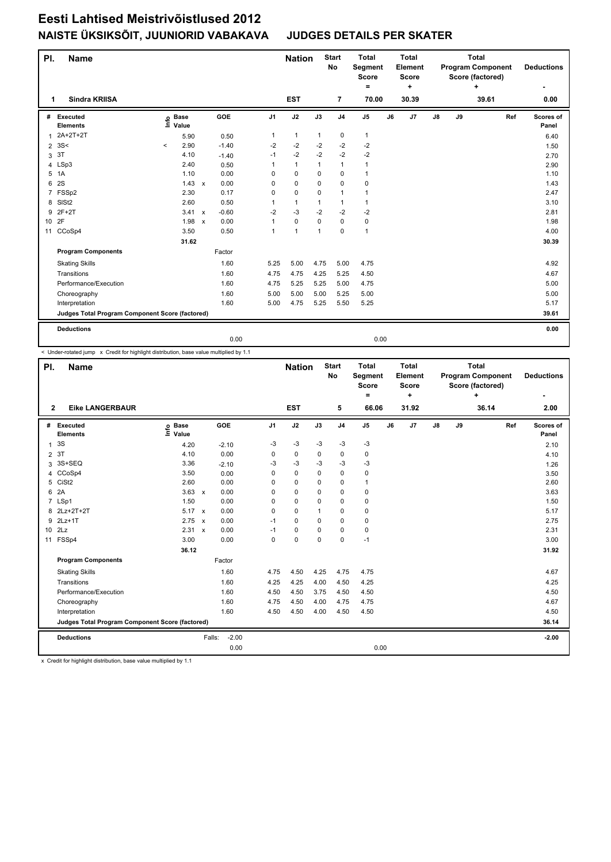| PI.            | <b>Name</b>                                     |                            |              |         |                | <b>Nation</b>  |                | <b>Start</b><br><b>No</b> | <b>Total</b><br>Segment<br><b>Score</b><br>= |    | <b>Total</b><br>Element<br><b>Score</b><br>÷ | <b>Total</b><br><b>Program Component</b><br>Score (factored)<br>÷<br>39.61 |    |  |     | <b>Deductions</b>  |
|----------------|-------------------------------------------------|----------------------------|--------------|---------|----------------|----------------|----------------|---------------------------|----------------------------------------------|----|----------------------------------------------|----------------------------------------------------------------------------|----|--|-----|--------------------|
| 1              | <b>Sindra KRIISA</b>                            |                            |              |         |                | <b>EST</b>     |                | 7                         | 70.00                                        |    | 30.39                                        |                                                                            |    |  |     | 0.00               |
| #              | Executed<br><b>Elements</b>                     | <b>Base</b><br>۴ę<br>Value |              | GOE     | J <sub>1</sub> | J2             | J3             | J <sub>4</sub>            | J <sub>5</sub>                               | J6 | J7                                           | J8                                                                         | J9 |  | Ref | Scores of<br>Panel |
| 1              | 2A+2T+2T                                        | 5.90                       |              | 0.50    | 1              | $\mathbf{1}$   | $\mathbf{1}$   | $\pmb{0}$                 | $\mathbf{1}$                                 |    |                                              |                                                                            |    |  |     | 6.40               |
| $\overline{2}$ | 3S<                                             | 2.90<br>$\prec$            |              | $-1.40$ | $-2$           | $-2$           | $-2$           | $-2$                      | -2                                           |    |                                              |                                                                            |    |  |     | 1.50               |
| 3              | 3T                                              | 4.10                       |              | $-1.40$ | $-1$           | $-2$           | $-2$           | $-2$                      | $-2$                                         |    |                                              |                                                                            |    |  |     | 2.70               |
| 4              | LSp3                                            | 2.40                       |              | 0.50    | 1              | $\mathbf{1}$   | $\mathbf{1}$   | $\mathbf{1}$              | $\mathbf{1}$                                 |    |                                              |                                                                            |    |  |     | 2.90               |
| 5              | 1A                                              | 1.10                       |              | 0.00    | 0              | 0              | $\Omega$       | 0                         | $\mathbf{1}$                                 |    |                                              |                                                                            |    |  |     | 1.10               |
| 6              | 2S                                              | 1.43                       | $\mathsf{x}$ | 0.00    | 0              | $\mathbf 0$    | $\mathbf 0$    | $\mathbf 0$               | 0                                            |    |                                              |                                                                            |    |  |     | 1.43               |
| $\overline{7}$ | FSSp2                                           | 2.30                       |              | 0.17    | 0              | $\mathbf 0$    | $\Omega$       | $\mathbf{1}$              | $\mathbf{1}$                                 |    |                                              |                                                                            |    |  |     | 2.47               |
| 8              | SISt <sub>2</sub>                               | 2.60                       |              | 0.50    | 1              | $\mathbf{1}$   | $\mathbf{1}$   | $\mathbf{1}$              | $\mathbf{1}$                                 |    |                                              |                                                                            |    |  |     | 3.10               |
| 9              | 2F+2T                                           |                            | 3.41 x       | $-0.60$ | $-2$           | $-3$           | $-2$           | $-2$                      | $-2$                                         |    |                                              |                                                                            |    |  |     | 2.81               |
|                | 10 2F                                           | 1.98                       | $\mathbf{x}$ | 0.00    | 1              | 0              | 0              | 0                         | 0                                            |    |                                              |                                                                            |    |  |     | 1.98               |
| 11             | CCoSp4                                          | 3.50                       |              | 0.50    | 1              | $\overline{1}$ | $\overline{1}$ | $\mathbf 0$               | $\mathbf{1}$                                 |    |                                              |                                                                            |    |  |     | 4.00               |
|                |                                                 | 31.62                      |              |         |                |                |                |                           |                                              |    |                                              |                                                                            |    |  |     | 30.39              |
|                | <b>Program Components</b>                       |                            |              | Factor  |                |                |                |                           |                                              |    |                                              |                                                                            |    |  |     |                    |
|                | <b>Skating Skills</b>                           |                            |              | 1.60    | 5.25           | 5.00           | 4.75           | 5.00                      | 4.75                                         |    |                                              |                                                                            |    |  |     | 4.92               |
|                | Transitions                                     |                            |              | 1.60    | 4.75           | 4.75           | 4.25           | 5.25                      | 4.50                                         |    |                                              |                                                                            |    |  |     | 4.67               |
|                | Performance/Execution                           |                            |              | 1.60    | 4.75           | 5.25           | 5.25           | 5.00                      | 4.75                                         |    |                                              |                                                                            |    |  |     | 5.00               |
|                | Choreography                                    |                            |              | 1.60    | 5.00           | 5.00           | 5.00           | 5.25                      | 5.00                                         |    |                                              |                                                                            |    |  |     | 5.00               |
|                | Interpretation                                  |                            |              | 1.60    | 5.00           | 4.75           | 5.25           | 5.50                      | 5.25                                         |    |                                              |                                                                            |    |  |     | 5.17               |
|                | Judges Total Program Component Score (factored) |                            |              |         |                |                |                |                           |                                              |    |                                              |                                                                            |    |  |     | 39.61              |
|                | <b>Deductions</b>                               |                            |              |         |                |                |                |                           |                                              |    |                                              |                                                                            |    |  |     | 0.00               |
|                |                                                 |                            |              | 0.00    |                |                |                |                           | 0.00                                         |    |                                              |                                                                            |    |  |     |                    |

< Under-rotated jump x Credit for highlight distribution, base value multiplied by 1.1

| PI.             | <b>Name</b>                                     |                              |                      |                | <b>Nation</b> |          | <b>Start</b><br>No | <b>Total</b><br>Segment<br><b>Score</b><br>$\equiv$ |    | <b>Total</b><br>Element<br><b>Score</b><br>÷ |               |    | <b>Total</b><br><b>Program Component</b><br>Score (factored)<br>÷ |     | <b>Deductions</b>  |
|-----------------|-------------------------------------------------|------------------------------|----------------------|----------------|---------------|----------|--------------------|-----------------------------------------------------|----|----------------------------------------------|---------------|----|-------------------------------------------------------------------|-----|--------------------|
| $\overline{2}$  | <b>Eike LANGERBAUR</b>                          |                              |                      |                | <b>EST</b>    |          | 5                  | 66.06                                               |    | 31.92                                        |               |    | 36.14                                                             |     | 2.00               |
|                 | # Executed<br><b>Elements</b>                   | <b>Base</b><br>Life<br>Value | GOE                  | J <sub>1</sub> | J2            | J3       | J <sub>4</sub>     | J <sub>5</sub>                                      | J6 | J7                                           | $\mathsf{J}8$ | J9 |                                                                   | Ref | Scores of<br>Panel |
| $\mathbf{1}$    | 3S                                              | 4.20                         | $-2.10$              | -3             | $-3$          | $-3$     | $-3$               | $-3$                                                |    |                                              |               |    |                                                                   |     | 2.10               |
|                 | 2 <sup>3T</sup>                                 | 4.10                         | 0.00                 | 0              | $\pmb{0}$     | 0        | $\pmb{0}$          | 0                                                   |    |                                              |               |    |                                                                   |     | 4.10               |
| 3               | 3S+SEQ                                          | 3.36                         | $-2.10$              | -3             | -3            | -3       | -3                 | $-3$                                                |    |                                              |               |    |                                                                   |     | 1.26               |
|                 | 4 CCoSp4                                        | 3.50                         | 0.00                 | $\Omega$       | $\mathbf 0$   | $\Omega$ | $\mathbf 0$        | 0                                                   |    |                                              |               |    |                                                                   |     | 3.50               |
| 5               | CiSt <sub>2</sub>                               | 2.60                         | 0.00                 | $\Omega$       | $\mathbf 0$   | $\Omega$ | $\mathbf 0$        | $\mathbf{1}$                                        |    |                                              |               |    |                                                                   |     | 2.60               |
| 6               | 2A                                              | 3.63                         | 0.00<br>$\mathsf{x}$ | $\Omega$       | $\Omega$      | 0        | $\mathbf 0$        | 0                                                   |    |                                              |               |    |                                                                   |     | 3.63               |
|                 | 7 LSp1                                          | 1.50                         | 0.00                 | 0              | $\mathbf 0$   | 0        | $\mathbf 0$        | 0                                                   |    |                                              |               |    |                                                                   |     | 1.50               |
|                 | 8 2Lz+2T+2T                                     | $5.17 \times$                | 0.00                 | $\Omega$       | $\Omega$      | 1        | $\mathbf 0$        | 0                                                   |    |                                              |               |    |                                                                   |     | 5.17               |
| 9               | $2Lz+1T$                                        | 2.75                         | 0.00<br>$\mathsf{x}$ | $-1$           | $\mathbf 0$   | 0        | $\mathbf 0$        | 0                                                   |    |                                              |               |    |                                                                   |     | 2.75               |
| 10 <sup>1</sup> | 2Lz                                             | $2.31 \times$                | 0.00                 | $-1$           | 0             | 0        | 0                  | $\mathbf 0$                                         |    |                                              |               |    |                                                                   |     | 2.31               |
| 11              | FSSp4                                           | 3.00                         | 0.00                 | 0              | $\mathbf 0$   | 0        | $\mathbf 0$        | $-1$                                                |    |                                              |               |    |                                                                   |     | 3.00               |
|                 |                                                 | 36.12                        |                      |                |               |          |                    |                                                     |    |                                              |               |    |                                                                   |     | 31.92              |
|                 | <b>Program Components</b>                       |                              | Factor               |                |               |          |                    |                                                     |    |                                              |               |    |                                                                   |     |                    |
|                 | <b>Skating Skills</b>                           |                              | 1.60                 | 4.75           | 4.50          | 4.25     | 4.75               | 4.75                                                |    |                                              |               |    |                                                                   |     | 4.67               |
|                 | Transitions                                     |                              | 1.60                 | 4.25           | 4.25          | 4.00     | 4.50               | 4.25                                                |    |                                              |               |    |                                                                   |     | 4.25               |
|                 | Performance/Execution                           |                              | 1.60                 | 4.50           | 4.50          | 3.75     | 4.50               | 4.50                                                |    |                                              |               |    |                                                                   |     | 4.50               |
|                 | Choreography                                    |                              | 1.60                 | 4.75           | 4.50          | 4.00     | 4.75               | 4.75                                                |    |                                              |               |    |                                                                   |     | 4.67               |
|                 | Interpretation                                  |                              | 1.60                 | 4.50           | 4.50          | 4.00     | 4.50               | 4.50                                                |    |                                              |               |    |                                                                   |     | 4.50               |
|                 | Judges Total Program Component Score (factored) |                              |                      |                |               |          |                    |                                                     |    |                                              |               |    |                                                                   |     | 36.14              |
|                 | <b>Deductions</b>                               |                              | $-2.00$<br>Falls:    |                |               |          |                    |                                                     |    |                                              |               |    |                                                                   |     | $-2.00$            |
|                 |                                                 |                              | 0.00                 |                |               |          |                    | 0.00                                                |    |                                              |               |    |                                                                   |     |                    |

x Credit for highlight distribution, base value multiplied by 1.1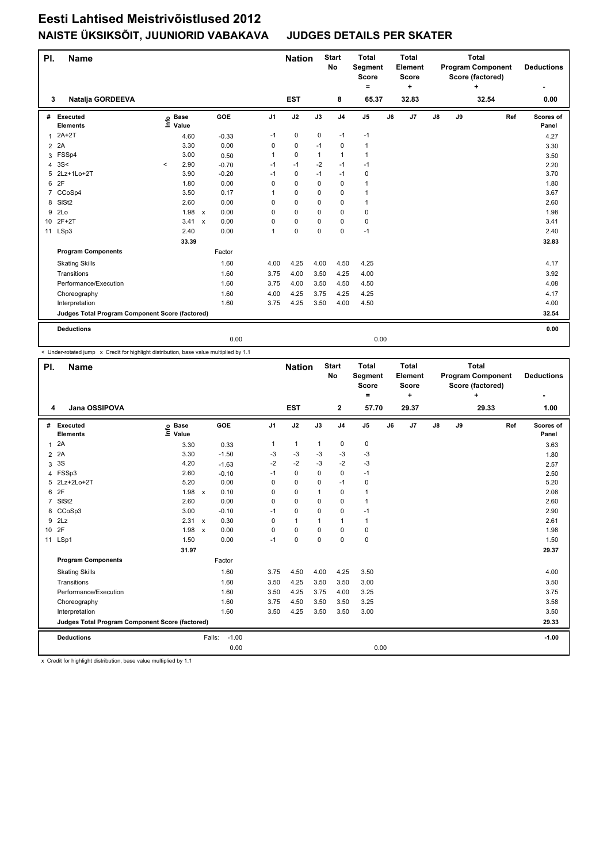| PI. | <b>Name</b>                                     |         |                      |              |         |                | <b>Nation</b> |              | <b>Start</b><br>No | <b>Total</b><br><b>Segment</b><br><b>Score</b><br>Ξ. |    | <b>Total</b><br>Element<br>Score<br>٠ |               | <b>Total</b><br><b>Program Component</b><br>Score (factored) | <b>Deductions</b> |     |                    |
|-----|-------------------------------------------------|---------|----------------------|--------------|---------|----------------|---------------|--------------|--------------------|------------------------------------------------------|----|---------------------------------------|---------------|--------------------------------------------------------------|-------------------|-----|--------------------|
| 3   | Natalja GORDEEVA                                |         |                      |              |         |                | <b>EST</b>    |              | 8                  | 65.37                                                |    | 32.83                                 |               |                                                              | 32.54             |     | 0.00               |
| #   | Executed<br><b>Elements</b>                     | ١nf٥    | <b>Base</b><br>Value |              | GOE     | J <sub>1</sub> | J2            | J3           | J <sub>4</sub>     | J <sub>5</sub>                                       | J6 | J7                                    | $\mathsf{J}8$ | J9                                                           |                   | Ref | Scores of<br>Panel |
| 1   | $2A+2T$                                         |         | 4.60                 |              | $-0.33$ | $-1$           | $\mathbf 0$   | $\mathbf 0$  | $-1$               | $-1$                                                 |    |                                       |               |                                                              |                   |     | 4.27               |
|     | 2 2A                                            |         | 3.30                 |              | 0.00    | 0              | $\mathbf 0$   | $-1$         | 0                  | $\mathbf{1}$                                         |    |                                       |               |                                                              |                   |     | 3.30               |
|     | 3 FSSp4                                         |         | 3.00                 |              | 0.50    | 1              | $\mathbf 0$   | $\mathbf{1}$ | $\overline{1}$     | $\mathbf{1}$                                         |    |                                       |               |                                                              |                   |     | 3.50               |
|     | 4.3S<                                           | $\,<\,$ | 2.90                 |              | $-0.70$ | $-1$           | $-1$          | $-2$         | $-1$               | $-1$                                                 |    |                                       |               |                                                              |                   |     | 2.20               |
|     | 5 2Lz+1Lo+2T                                    |         | 3.90                 |              | $-0.20$ | $-1$           | 0             | $-1$         | $-1$               | 0                                                    |    |                                       |               |                                                              |                   |     | 3.70               |
| 6   | 2F                                              |         | 1.80                 |              | 0.00    | 0              | 0             | 0            | $\pmb{0}$          | $\mathbf{1}$                                         |    |                                       |               |                                                              |                   |     | 1.80               |
|     | 7 CCoSp4                                        |         | 3.50                 |              | 0.17    | 1              | 0             | 0            | 0                  | 1                                                    |    |                                       |               |                                                              |                   |     | 3.67               |
|     | 8 SISt2                                         |         | 2.60                 |              | 0.00    | 0              | $\mathbf 0$   | 0            | $\mathbf 0$        | $\mathbf{1}$                                         |    |                                       |               |                                                              |                   |     | 2.60               |
| 9   | 2 <sub>LO</sub>                                 |         | 1.98                 | $\mathsf{x}$ | 0.00    | 0              | $\mathbf 0$   | 0            | $\mathbf 0$        | $\pmb{0}$                                            |    |                                       |               |                                                              |                   |     | 1.98               |
|     | 10 2F+2T                                        |         | 3.41                 | $\mathsf{x}$ | 0.00    | 0              | $\mathbf 0$   | 0            | 0                  | $\pmb{0}$                                            |    |                                       |               |                                                              |                   |     | 3.41               |
|     | 11 LSp3                                         |         | 2.40                 |              | 0.00    | 1              | 0             | 0            | $\mathbf 0$        | $-1$                                                 |    |                                       |               |                                                              |                   |     | 2.40               |
|     |                                                 |         | 33.39                |              |         |                |               |              |                    |                                                      |    |                                       |               |                                                              |                   |     | 32.83              |
|     | <b>Program Components</b>                       |         |                      |              | Factor  |                |               |              |                    |                                                      |    |                                       |               |                                                              |                   |     |                    |
|     | <b>Skating Skills</b>                           |         |                      |              | 1.60    | 4.00           | 4.25          | 4.00         | 4.50               | 4.25                                                 |    |                                       |               |                                                              |                   |     | 4.17               |
|     | Transitions                                     |         |                      |              | 1.60    | 3.75           | 4.00          | 3.50         | 4.25               | 4.00                                                 |    |                                       |               |                                                              |                   |     | 3.92               |
|     | Performance/Execution                           |         |                      |              | 1.60    | 3.75           | 4.00          | 3.50         | 4.50               | 4.50                                                 |    |                                       |               |                                                              |                   |     | 4.08               |
|     | Choreography                                    |         |                      |              | 1.60    | 4.00           | 4.25          | 3.75         | 4.25               | 4.25                                                 |    |                                       |               |                                                              |                   |     | 4.17               |
|     | Interpretation                                  |         |                      |              | 1.60    | 3.75           | 4.25          | 3.50         | 4.00               | 4.50                                                 |    |                                       |               |                                                              |                   |     | 4.00               |
|     | Judges Total Program Component Score (factored) |         |                      |              |         |                |               |              |                    |                                                      |    |                                       |               |                                                              |                   |     | 32.54              |
|     | <b>Deductions</b>                               |         |                      |              |         |                |               |              |                    |                                                      |    |                                       |               |                                                              |                   |     | 0.00               |
|     |                                                 |         |                      |              | 0.00    |                |               |              |                    | 0.00                                                 |    |                                       |               |                                                              |                   |     |                    |

< Under-rotated jump x Credit for highlight distribution, base value multiplied by 1.1

| PI.            | <b>Name</b>                                     |                              |                      |                | <b>Nation</b> |              | <b>Start</b><br><b>No</b> | <b>Total</b><br>Segment<br><b>Score</b><br>= |    | <b>Total</b><br>Element<br><b>Score</b><br>÷ |               |    | <b>Total</b><br><b>Program Component</b><br>Score (factored)<br>÷ |     | <b>Deductions</b>  |
|----------------|-------------------------------------------------|------------------------------|----------------------|----------------|---------------|--------------|---------------------------|----------------------------------------------|----|----------------------------------------------|---------------|----|-------------------------------------------------------------------|-----|--------------------|
| 4              | <b>Jana OSSIPOVA</b>                            |                              |                      |                | <b>EST</b>    |              | $\mathbf{2}$              | 57.70                                        |    | 29.37                                        |               |    | 29.33                                                             |     | 1.00               |
|                | # Executed<br><b>Elements</b>                   | <b>Base</b><br>١nf٥<br>Value | GOE                  | J <sub>1</sub> | J2            | J3           | J <sub>4</sub>            | J <sub>5</sub>                               | J6 | J <sub>7</sub>                               | $\mathsf{J}8$ | J9 |                                                                   | Ref | Scores of<br>Panel |
| $\mathbf{1}$   | 2A                                              | 3.30                         | 0.33                 | 1              | $\mathbf{1}$  | $\mathbf{1}$ | 0                         | 0                                            |    |                                              |               |    |                                                                   |     | 3.63               |
|                | 2 2A                                            | 3.30                         | $-1.50$              | -3             | $-3$          | -3           | $-3$                      | $-3$                                         |    |                                              |               |    |                                                                   |     | 1.80               |
| 3              | 3S                                              | 4.20                         | $-1.63$              | -2             | $-2$          | $-3$         | $-2$                      | $-3$                                         |    |                                              |               |    |                                                                   |     | 2.57               |
|                | 4 FSSp3                                         | 2.60                         | $-0.10$              | $-1$           | $\mathbf 0$   | 0            | $\mathbf 0$               | $-1$                                         |    |                                              |               |    |                                                                   |     | 2.50               |
|                | 5 2Lz+2Lo+2T                                    | 5.20                         | 0.00                 | 0              | $\mathbf 0$   | $\Omega$     | $-1$                      | $\pmb{0}$                                    |    |                                              |               |    |                                                                   |     | 5.20               |
| 6              | 2F                                              | 1.98                         | 0.10<br>$\mathsf{x}$ | 0              | $\mathbf 0$   | $\mathbf{1}$ | $\mathbf 0$               | $\mathbf{1}$                                 |    |                                              |               |    |                                                                   |     | 2.08               |
| $\overline{7}$ | SISt <sub>2</sub>                               | 2.60                         | 0.00                 | 0              | $\mathbf 0$   | $\mathbf 0$  | 0                         | $\mathbf{1}$                                 |    |                                              |               |    |                                                                   |     | 2.60               |
| 8              | CCoSp3                                          | 3.00                         | $-0.10$              | $-1$           | $\Omega$      | $\Omega$     | $\mathbf 0$               | $-1$                                         |    |                                              |               |    |                                                                   |     | 2.90               |
| 9              | 2Lz                                             | $2.31 \times$                | 0.30                 | 0              | $\mathbf{1}$  | 1            | $\mathbf{1}$              | $\mathbf{1}$                                 |    |                                              |               |    |                                                                   |     | 2.61               |
| 10 2F          |                                                 | 1.98                         | 0.00<br>$\mathbf{x}$ | 0              | $\mathbf 0$   | $\Omega$     | $\mathbf 0$               | $\pmb{0}$                                    |    |                                              |               |    |                                                                   |     | 1.98               |
|                | 11 LSp1                                         | 1.50                         | 0.00                 | $-1$           | $\mathbf 0$   | $\mathbf 0$  | $\mathbf 0$               | $\mathbf 0$                                  |    |                                              |               |    |                                                                   |     | 1.50               |
|                |                                                 | 31.97                        |                      |                |               |              |                           |                                              |    |                                              |               |    |                                                                   |     | 29.37              |
|                | <b>Program Components</b>                       |                              | Factor               |                |               |              |                           |                                              |    |                                              |               |    |                                                                   |     |                    |
|                | <b>Skating Skills</b>                           |                              | 1.60                 | 3.75           | 4.50          | 4.00         | 4.25                      | 3.50                                         |    |                                              |               |    |                                                                   |     | 4.00               |
|                | Transitions                                     |                              | 1.60                 | 3.50           | 4.25          | 3.50         | 3.50                      | 3.00                                         |    |                                              |               |    |                                                                   |     | 3.50               |
|                | Performance/Execution                           |                              | 1.60                 | 3.50           | 4.25          | 3.75         | 4.00                      | 3.25                                         |    |                                              |               |    |                                                                   |     | 3.75               |
|                | Choreography                                    |                              | 1.60                 | 3.75           | 4.50          | 3.50         | 3.50                      | 3.25                                         |    |                                              |               |    |                                                                   |     | 3.58               |
|                | Interpretation                                  |                              | 1.60                 | 3.50           | 4.25          | 3.50         | 3.50                      | 3.00                                         |    |                                              |               |    |                                                                   |     | 3.50               |
|                | Judges Total Program Component Score (factored) |                              |                      |                |               |              |                           |                                              |    |                                              |               |    |                                                                   |     | 29.33              |
|                | <b>Deductions</b>                               |                              | $-1.00$<br>Falls:    |                |               |              |                           |                                              |    |                                              |               |    |                                                                   |     | $-1.00$            |
|                |                                                 |                              | 0.00                 |                |               |              |                           | 0.00                                         |    |                                              |               |    |                                                                   |     |                    |

x Credit for highlight distribution, base value multiplied by 1.1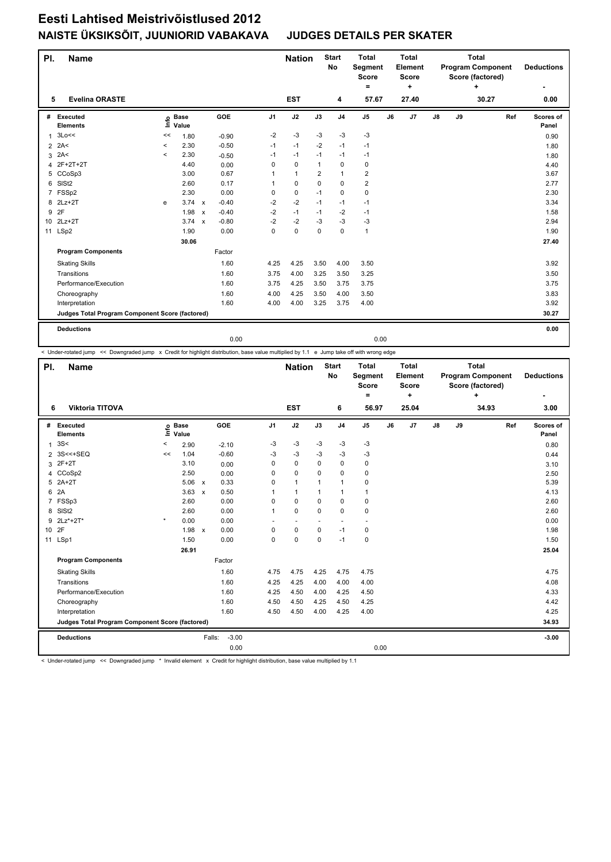| PI.            | <b>Name</b>                                     |         |                      |                           |         |                | <b>Nation</b> |                | <b>Start</b><br><b>No</b> | <b>Total</b><br>Segment<br><b>Score</b><br>$\equiv$ |    | <b>Total</b><br>Element<br><b>Score</b><br>٠ |               | <b>Total</b><br><b>Program Component</b><br>Score (factored) | <b>Deductions</b> |     |                    |
|----------------|-------------------------------------------------|---------|----------------------|---------------------------|---------|----------------|---------------|----------------|---------------------------|-----------------------------------------------------|----|----------------------------------------------|---------------|--------------------------------------------------------------|-------------------|-----|--------------------|
| 5              | <b>Evelina ORASTE</b>                           |         |                      |                           |         |                | <b>EST</b>    |                | 4                         | 57.67                                               |    | 27.40                                        |               |                                                              | 30.27             |     | 0.00               |
| #              | Executed<br><b>Elements</b>                     | ١nf٥    | <b>Base</b><br>Value |                           | GOE     | J <sub>1</sub> | J2            | J3             | J <sub>4</sub>            | J <sub>5</sub>                                      | J6 | J <sub>7</sub>                               | $\mathsf{J}8$ | J9                                                           |                   | Ref | Scores of<br>Panel |
| 1              | 3Lo <<                                          | <<      | 1.80                 |                           | $-0.90$ | $-2$           | $-3$          | $-3$           | $-3$                      | $-3$                                                |    |                                              |               |                                                              |                   |     | 0.90               |
| $\overline{2}$ | 2A<                                             | $\,<\,$ | 2.30                 |                           | $-0.50$ | $-1$           | $-1$          | $-2$           | $-1$                      | $-1$                                                |    |                                              |               |                                                              |                   |     | 1.80               |
| 3              | 2A<                                             | $\,<$   | 2.30                 |                           | $-0.50$ | $-1$           | $-1$          | $-1$           | $-1$                      | $-1$                                                |    |                                              |               |                                                              |                   |     | 1.80               |
| 4              | 2F+2T+2T                                        |         | 4.40                 |                           | 0.00    | 0              | $\mathbf 0$   | $\overline{1}$ | $\mathbf 0$               | 0                                                   |    |                                              |               |                                                              |                   |     | 4.40               |
| 5              | CCoSp3                                          |         | 3.00                 |                           | 0.67    | 1              | $\mathbf{1}$  | 2              | $\mathbf{1}$              | 2                                                   |    |                                              |               |                                                              |                   |     | 3.67               |
| 6              | SISt <sub>2</sub>                               |         | 2.60                 |                           | 0.17    | 1              | $\pmb{0}$     | $\mathbf 0$    | $\pmb{0}$                 | $\overline{\mathbf{c}}$                             |    |                                              |               |                                                              |                   |     | 2.77               |
| $\overline{7}$ | FSSp2                                           |         | 2.30                 |                           | 0.00    | 0              | $\mathbf 0$   | $-1$           | $\mathbf 0$               | 0                                                   |    |                                              |               |                                                              |                   |     | 2.30               |
| 8              | $2Lz+2T$                                        | e       | 3.74                 | $\boldsymbol{\mathsf{x}}$ | $-0.40$ | $-2$           | $-2$          | $-1$           | -1                        | $-1$                                                |    |                                              |               |                                                              |                   |     | 3.34               |
| 9              | 2F                                              |         | 1.98                 | $\boldsymbol{\mathsf{x}}$ | $-0.40$ | $-2$           | $-1$          | $-1$           | $-2$                      | $-1$                                                |    |                                              |               |                                                              |                   |     | 1.58               |
| 10             | $2Lz+2T$                                        |         | 3.74                 | $\boldsymbol{\mathsf{x}}$ | $-0.80$ | $-2$           | $-2$          | $-3$           | $-3$                      | $-3$                                                |    |                                              |               |                                                              |                   |     | 2.94               |
|                | 11 LSp2                                         |         | 1.90                 |                           | 0.00    | 0              | $\mathbf 0$   | $\Omega$       | $\mathbf 0$               | $\mathbf{1}$                                        |    |                                              |               |                                                              |                   |     | 1.90               |
|                |                                                 |         | 30.06                |                           |         |                |               |                |                           |                                                     |    |                                              |               |                                                              |                   |     | 27.40              |
|                | <b>Program Components</b>                       |         |                      |                           | Factor  |                |               |                |                           |                                                     |    |                                              |               |                                                              |                   |     |                    |
|                | <b>Skating Skills</b>                           |         |                      |                           | 1.60    | 4.25           | 4.25          | 3.50           | 4.00                      | 3.50                                                |    |                                              |               |                                                              |                   |     | 3.92               |
|                | Transitions                                     |         |                      |                           | 1.60    | 3.75           | 4.00          | 3.25           | 3.50                      | 3.25                                                |    |                                              |               |                                                              |                   |     | 3.50               |
|                | Performance/Execution                           |         |                      |                           | 1.60    | 3.75           | 4.25          | 3.50           | 3.75                      | 3.75                                                |    |                                              |               |                                                              |                   |     | 3.75               |
|                | Choreography                                    |         |                      |                           | 1.60    | 4.00           | 4.25          | 3.50           | 4.00                      | 3.50                                                |    |                                              |               |                                                              |                   |     | 3.83               |
|                | Interpretation                                  |         |                      |                           | 1.60    | 4.00           | 4.00          | 3.25           | 3.75                      | 4.00                                                |    |                                              |               |                                                              |                   |     | 3.92               |
|                | Judges Total Program Component Score (factored) |         |                      |                           |         |                |               |                |                           |                                                     |    |                                              |               |                                                              |                   |     | 30.27              |
|                | <b>Deductions</b>                               |         |                      |                           |         |                |               |                |                           |                                                     |    |                                              |               |                                                              |                   |     | 0.00               |
|                |                                                 |         |                      |                           | 0.00    |                |               |                |                           | 0.00                                                |    |                                              |               |                                                              |                   |     |                    |

< Under-rotated jump << Downgraded jump x Credit for highlight distribution, base value multiplied by 1.1 e Jump take off with wrong edge

| PI.             | <b>Name</b>                                     |                                  |                      | <b>Nation</b> |            | <b>Start</b><br><b>No</b> | <b>Total</b><br>Segment<br><b>Score</b><br>٠ |             | <b>Total</b><br>Element<br><b>Score</b><br>٠ |                |    | <b>Total</b><br><b>Program Component</b><br>Score (factored)<br>÷ |    | <b>Deductions</b> |       |     |                    |
|-----------------|-------------------------------------------------|----------------------------------|----------------------|---------------|------------|---------------------------|----------------------------------------------|-------------|----------------------------------------------|----------------|----|-------------------------------------------------------------------|----|-------------------|-------|-----|--------------------|
| 6               | <b>Viktoria TITOVA</b>                          |                                  |                      |               |            |                           | <b>EST</b>                                   |             | 6                                            | 56.97          |    | 25.04                                                             |    |                   | 34.93 |     | 3.00               |
| #               | Executed<br><b>Elements</b>                     | $\mathop{\mathsf{Int}}\nolimits$ | <b>Base</b><br>Value |               | <b>GOE</b> | J <sub>1</sub>            | J2                                           | J3          | J <sub>4</sub>                               | J <sub>5</sub> | J6 | J7                                                                | J8 | J9                |       | Ref | Scores of<br>Panel |
| $\mathbf{1}$    | 3S<                                             | $\,<$                            | 2.90                 |               | $-2.10$    | -3                        | $-3$                                         | $-3$        | $-3$                                         | $-3$           |    |                                                                   |    |                   |       |     | 0.80               |
|                 | 2 3S<<+SEQ                                      | <<                               | 1.04                 |               | $-0.60$    | $-3$                      | $-3$                                         | -3          | $-3$                                         | $-3$           |    |                                                                   |    |                   |       |     | 0.44               |
| 3               | $2F+2T$                                         |                                  | 3.10                 |               | 0.00       | 0                         | 0                                            | 0           | 0                                            | 0              |    |                                                                   |    |                   |       |     | 3.10               |
| 4               | CCoSp2                                          |                                  | 2.50                 |               | 0.00       | 0                         | $\mathbf 0$                                  | $\Omega$    | $\Omega$                                     | $\pmb{0}$      |    |                                                                   |    |                   |       |     | 2.50               |
| 5               | $2A+2T$                                         |                                  | 5.06                 | $\mathsf{x}$  | 0.33       | 0                         | $\mathbf{1}$                                 | 1           | $\mathbf{1}$                                 | 0              |    |                                                                   |    |                   |       |     | 5.39               |
| 6               | 2A                                              |                                  | 3.63                 | $\mathsf{x}$  | 0.50       | 1                         | $\mathbf{1}$                                 | 1           | $\overline{1}$                               | $\mathbf{1}$   |    |                                                                   |    |                   |       |     | 4.13               |
| $\overline{7}$  | FSSp3                                           |                                  | 2.60                 |               | 0.00       | 0                         | 0                                            | 0           | 0                                            | 0              |    |                                                                   |    |                   |       |     | 2.60               |
|                 | 8 SISt2                                         |                                  | 2.60                 |               | 0.00       | 1                         | $\mathbf 0$                                  | $\Omega$    | $\mathbf 0$                                  | $\pmb{0}$      |    |                                                                   |    |                   |       |     | 2.60               |
| 9               | $2Lz^*+2T^*$                                    | $\star$                          | 0.00                 |               | 0.00       | ٠                         | $\overline{\phantom{a}}$                     | ٠           | $\overline{\phantom{a}}$                     | ٠              |    |                                                                   |    |                   |       |     | 0.00               |
| 10 <sup>1</sup> | 2F                                              |                                  | 1.98                 | $\mathsf{x}$  | 0.00       | 0                         | $\mathbf 0$                                  | $\mathbf 0$ | $-1$                                         | $\pmb{0}$      |    |                                                                   |    |                   |       |     | 1.98               |
| 11              | LSp1                                            |                                  | 1.50                 |               | 0.00       | 0                         | $\mathbf 0$                                  | $\mathbf 0$ | $-1$                                         | $\pmb{0}$      |    |                                                                   |    |                   |       |     | 1.50               |
|                 |                                                 |                                  | 26.91                |               |            |                           |                                              |             |                                              |                |    |                                                                   |    |                   |       |     | 25.04              |
|                 | <b>Program Components</b>                       |                                  |                      |               | Factor     |                           |                                              |             |                                              |                |    |                                                                   |    |                   |       |     |                    |
|                 | <b>Skating Skills</b>                           |                                  |                      |               | 1.60       | 4.75                      | 4.75                                         | 4.25        | 4.75                                         | 4.75           |    |                                                                   |    |                   |       |     | 4.75               |
|                 | Transitions                                     |                                  |                      |               | 1.60       | 4.25                      | 4.25                                         | 4.00        | 4.00                                         | 4.00           |    |                                                                   |    |                   |       |     | 4.08               |
|                 | Performance/Execution                           |                                  |                      |               | 1.60       | 4.25                      | 4.50                                         | 4.00        | 4.25                                         | 4.50           |    |                                                                   |    |                   |       |     | 4.33               |
|                 | Choreography                                    |                                  |                      |               | 1.60       | 4.50                      | 4.50                                         | 4.25        | 4.50                                         | 4.25           |    |                                                                   |    |                   |       |     | 4.42               |
|                 | Interpretation                                  |                                  |                      |               | 1.60       | 4.50                      | 4.50                                         | 4.00        | 4.25                                         | 4.00           |    |                                                                   |    |                   |       |     | 4.25               |
|                 | Judges Total Program Component Score (factored) |                                  |                      |               |            |                           |                                              |             |                                              |                |    |                                                                   |    |                   |       |     | 34.93              |
|                 | <b>Deductions</b>                               |                                  |                      | Falls:        | $-3.00$    |                           |                                              |             |                                              |                |    |                                                                   |    |                   |       |     | $-3.00$            |
|                 |                                                 |                                  |                      |               | 0.00       |                           |                                              |             |                                              | 0.00           |    |                                                                   |    |                   |       |     |                    |

< Under-rotated jump << Downgraded jump \* Invalid element x Credit for highlight distribution, base value multiplied by 1.1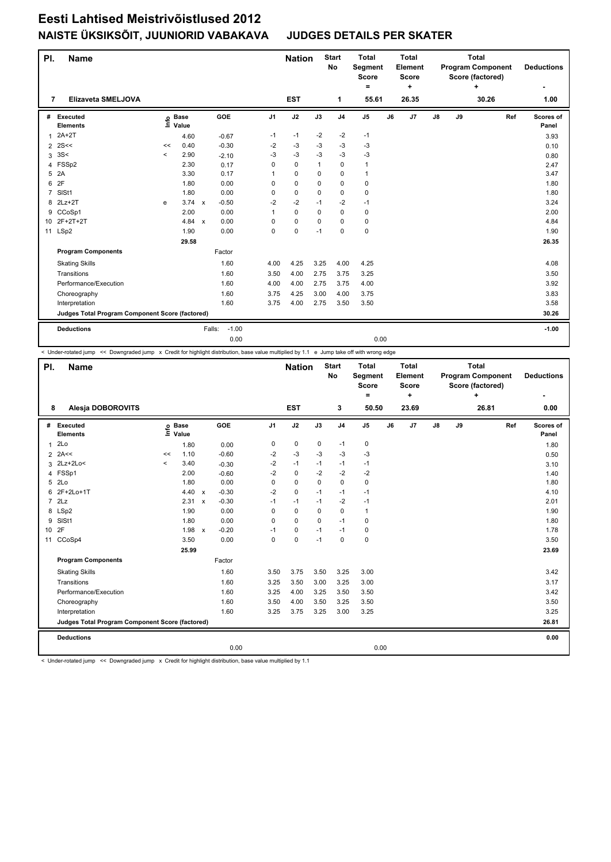| PI.            | <b>Name</b>                                     |       |                                  |                           |                   |                | <b>Nation</b> |              | <b>Start</b><br><b>No</b> | <b>Total</b><br>Segment<br><b>Score</b><br>= |    | <b>Total</b><br>Element<br><b>Score</b><br>٠ |    | <b>Total</b><br><b>Program Component</b><br>Score (factored) |       | <b>Deductions</b> |                    |
|----------------|-------------------------------------------------|-------|----------------------------------|---------------------------|-------------------|----------------|---------------|--------------|---------------------------|----------------------------------------------|----|----------------------------------------------|----|--------------------------------------------------------------|-------|-------------------|--------------------|
| 7              | Elizaveta SMELJOVA                              |       |                                  |                           |                   |                | <b>EST</b>    |              | 1                         | 55.61                                        |    | 26.35                                        |    |                                                              | 30.26 |                   | 1.00               |
| #              | Executed<br><b>Elements</b>                     |       | <b>Base</b><br>e Base<br>⊑ Value |                           | GOE               | J <sub>1</sub> | J2            | J3           | J <sub>4</sub>            | J <sub>5</sub>                               | J6 | J7                                           | J8 | J9                                                           |       | Ref               | Scores of<br>Panel |
| $\mathbf{1}$   | $2A+2T$                                         |       | 4.60                             |                           | $-0.67$           | $-1$           | $-1$          | $-2$         | $-2$                      | $-1$                                         |    |                                              |    |                                                              |       |                   | 3.93               |
| $\overline{2}$ | 2S<<                                            | <<    | 0.40                             |                           | $-0.30$           | $-2$           | $-3$          | $-3$         | $-3$                      | $-3$                                         |    |                                              |    |                                                              |       |                   | 0.10               |
| 3              | 3S<                                             | $\,<$ | 2.90                             |                           | $-2.10$           | $-3$           | $-3$          | $-3$         | $-3$                      | $-3$                                         |    |                                              |    |                                                              |       |                   | 0.80               |
|                | 4 FSSp2                                         |       | 2.30                             |                           | 0.17              | 0              | $\mathbf 0$   | $\mathbf{1}$ | $\mathbf 0$               | $\mathbf{1}$                                 |    |                                              |    |                                                              |       |                   | 2.47               |
| 5              | 2A                                              |       | 3.30                             |                           | 0.17              | 1              | 0             | $\Omega$     | 0                         | $\mathbf{1}$                                 |    |                                              |    |                                                              |       |                   | 3.47               |
| 6              | 2F                                              |       | 1.80                             |                           | 0.00              | 0              | $\mathbf 0$   | $\Omega$     | $\mathbf 0$               | 0                                            |    |                                              |    |                                                              |       |                   | 1.80               |
| $\overline{7}$ | SISt1                                           |       | 1.80                             |                           | 0.00              | 0              | 0             | 0            | 0                         | 0                                            |    |                                              |    |                                                              |       |                   | 1.80               |
| 8              | $2Lz+2T$                                        | e     | 3.74                             | $\mathsf{x}$              | $-0.50$           | $-2$           | $-2$          | $-1$         | $-2$                      | $-1$                                         |    |                                              |    |                                                              |       |                   | 3.24               |
|                | 9 CCoSp1                                        |       | 2.00                             |                           | 0.00              | 1              | $\mathbf 0$   | $\Omega$     | $\Omega$                  | 0                                            |    |                                              |    |                                                              |       |                   | 2.00               |
|                | 10 2F+2T+2T                                     |       | 4.84                             | $\boldsymbol{\mathsf{x}}$ | 0.00              | 0              | $\mathbf 0$   | $\Omega$     | 0                         | 0                                            |    |                                              |    |                                                              |       |                   | 4.84               |
| 11             | LSp2                                            |       | 1.90                             |                           | 0.00              | 0              | $\mathbf 0$   | $-1$         | $\mathbf 0$               | $\mathbf 0$                                  |    |                                              |    |                                                              |       |                   | 1.90               |
|                |                                                 |       | 29.58                            |                           |                   |                |               |              |                           |                                              |    |                                              |    |                                                              |       |                   | 26.35              |
|                | <b>Program Components</b>                       |       |                                  |                           | Factor            |                |               |              |                           |                                              |    |                                              |    |                                                              |       |                   |                    |
|                | <b>Skating Skills</b>                           |       |                                  |                           | 1.60              | 4.00           | 4.25          | 3.25         | 4.00                      | 4.25                                         |    |                                              |    |                                                              |       |                   | 4.08               |
|                | Transitions                                     |       |                                  |                           | 1.60              | 3.50           | 4.00          | 2.75         | 3.75                      | 3.25                                         |    |                                              |    |                                                              |       |                   | 3.50               |
|                | Performance/Execution                           |       |                                  |                           | 1.60              | 4.00           | 4.00          | 2.75         | 3.75                      | 4.00                                         |    |                                              |    |                                                              |       |                   | 3.92               |
|                | Choreography                                    |       |                                  |                           | 1.60              | 3.75           | 4.25          | 3.00         | 4.00                      | 3.75                                         |    |                                              |    |                                                              |       |                   | 3.83               |
|                | Interpretation                                  |       |                                  |                           | 1.60              | 3.75           | 4.00          | 2.75         | 3.50                      | 3.50                                         |    |                                              |    |                                                              |       |                   | 3.58               |
|                | Judges Total Program Component Score (factored) |       |                                  |                           |                   |                |               |              |                           |                                              |    |                                              |    |                                                              |       |                   | 30.26              |
|                | <b>Deductions</b>                               |       |                                  |                           | $-1.00$<br>Falls: |                |               |              |                           |                                              |    |                                              |    |                                                              |       |                   | $-1.00$            |
|                |                                                 |       |                                  |                           | 0.00              |                |               |              |                           | 0.00                                         |    |                                              |    |                                                              |       |                   |                    |

< Under-rotated jump << Downgraded jump x Credit for highlight distribution, base value multiplied by 1.1 e Jump take off with wrong edge

| PI.             | <b>Name</b>                                     |          |                      |              | <b>Nation</b> |                | <b>Start</b><br>No | <b>Total</b><br>Segment<br><b>Score</b><br>$\equiv$ |                | <b>Total</b><br>Element<br><b>Score</b><br>٠ |    |       | <b>Total</b><br><b>Program Component</b><br>Score (factored)<br>٠ |    | <b>Deductions</b> |     |                    |
|-----------------|-------------------------------------------------|----------|----------------------|--------------|---------------|----------------|--------------------|-----------------------------------------------------|----------------|----------------------------------------------|----|-------|-------------------------------------------------------------------|----|-------------------|-----|--------------------|
| 8               | <b>Alesia DOBOROVITS</b>                        |          |                      |              |               |                | <b>EST</b>         |                                                     | 3              | 50.50                                        |    | 23.69 |                                                                   |    | 26.81             |     | 0.00               |
| #               | Executed<br><b>Elements</b>                     | e        | <b>Base</b><br>Value |              | GOE           | J <sub>1</sub> | J2                 | J3                                                  | J <sub>4</sub> | J <sub>5</sub>                               | J6 | J7    | $\mathsf{J}8$                                                     | J9 |                   | Ref | Scores of<br>Panel |
| 1               | 2Lo                                             |          | 1.80                 |              | 0.00          | $\pmb{0}$      | $\pmb{0}$          | $\mathbf 0$                                         | $-1$           | 0                                            |    |       |                                                                   |    |                   |     | 1.80               |
|                 | $2$ 2A<<                                        | <<       | 1.10                 |              | $-0.60$       | $-2$           | $-3$               | -3                                                  | $-3$           | $-3$                                         |    |       |                                                                   |    |                   |     | 0.50               |
|                 | 3 2Lz+2Lo<                                      | $\hat{}$ | 3.40                 |              | $-0.30$       | $-2$           | $-1$               | $-1$                                                | $-1$           | $-1$                                         |    |       |                                                                   |    |                   |     | 3.10               |
|                 | 4 FSSp1                                         |          | 2.00                 |              | $-0.60$       | $-2$           | $\mathbf 0$        | $-2$                                                | $-2$           | $-2$                                         |    |       |                                                                   |    |                   |     | 1.40               |
|                 | 5 2Lo                                           |          | 1.80                 |              | 0.00          | $\Omega$       | $\Omega$           | $\Omega$                                            | $\Omega$       | 0                                            |    |       |                                                                   |    |                   |     | 1.80               |
| 6               | 2F+2Lo+1T                                       |          | 4.40                 | $\mathsf{x}$ | $-0.30$       | $-2$           | $\mathbf 0$        | $-1$                                                | $-1$           | $-1$                                         |    |       |                                                                   |    |                   |     | 4.10               |
| $\overline{7}$  | 2Lz                                             |          | 2.31                 | $\mathsf{x}$ | $-0.30$       | $-1$           | $-1$               | $-1$                                                | $-2$           | $-1$                                         |    |       |                                                                   |    |                   |     | 2.01               |
| 8               | LSp2                                            |          | 1.90                 |              | 0.00          | 0              | $\mathbf 0$        | $\Omega$                                            | $\mathbf 0$    | $\mathbf{1}$                                 |    |       |                                                                   |    |                   |     | 1.90               |
| 9               | SISt1                                           |          | 1.80                 |              | 0.00          | 0              | $\mathbf 0$        | $\mathbf 0$                                         | $-1$           | 0                                            |    |       |                                                                   |    |                   |     | 1.80               |
| 10 <sup>1</sup> | 2F                                              |          | $1.98 \times$        |              | $-0.20$       | $-1$           | $\pmb{0}$          | $-1$                                                | $-1$           | 0                                            |    |       |                                                                   |    |                   |     | 1.78               |
| 11              | CCoSp4                                          |          | 3.50                 |              | 0.00          | 0              | $\pmb{0}$          | $-1$                                                | $\mathbf 0$    | $\mathbf 0$                                  |    |       |                                                                   |    |                   |     | 3.50               |
|                 |                                                 |          | 25.99                |              |               |                |                    |                                                     |                |                                              |    |       |                                                                   |    |                   |     | 23.69              |
|                 | <b>Program Components</b>                       |          |                      |              | Factor        |                |                    |                                                     |                |                                              |    |       |                                                                   |    |                   |     |                    |
|                 | <b>Skating Skills</b>                           |          |                      |              | 1.60          | 3.50           | 3.75               | 3.50                                                | 3.25           | 3.00                                         |    |       |                                                                   |    |                   |     | 3.42               |
|                 | Transitions                                     |          |                      |              | 1.60          | 3.25           | 3.50               | 3.00                                                | 3.25           | 3.00                                         |    |       |                                                                   |    |                   |     | 3.17               |
|                 | Performance/Execution                           |          |                      |              | 1.60          | 3.25           | 4.00               | 3.25                                                | 3.50           | 3.50                                         |    |       |                                                                   |    |                   |     | 3.42               |
|                 | Choreography                                    |          |                      |              | 1.60          | 3.50           | 4.00               | 3.50                                                | 3.25           | 3.50                                         |    |       |                                                                   |    |                   |     | 3.50               |
|                 | Interpretation                                  |          |                      |              | 1.60          | 3.25           | 3.75               | 3.25                                                | 3.00           | 3.25                                         |    |       |                                                                   |    |                   |     | 3.25               |
|                 | Judges Total Program Component Score (factored) |          |                      |              |               |                |                    |                                                     |                |                                              |    |       |                                                                   |    |                   |     | 26.81              |
|                 | <b>Deductions</b>                               |          |                      |              |               |                |                    |                                                     |                |                                              |    |       |                                                                   |    |                   |     | 0.00               |
|                 |                                                 |          |                      |              | 0.00          |                |                    |                                                     |                | 0.00                                         |    |       |                                                                   |    |                   |     |                    |

< Under-rotated jump << Downgraded jump x Credit for highlight distribution, base value multiplied by 1.1